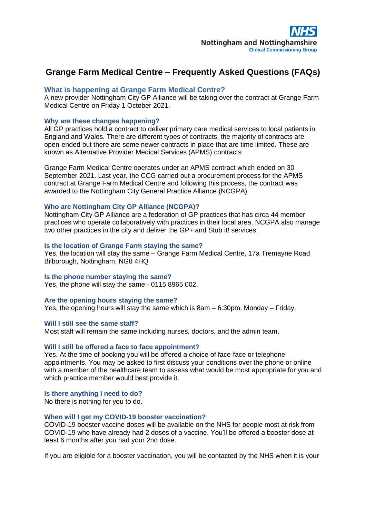# **Grange Farm Medical Centre – Frequently Asked Questions (FAQs)**

# **What is happening at Grange Farm Medical Centre?**

A new provider Nottingham City GP Alliance will be taking over the contract at Grange Farm Medical Centre on Friday 1 October 2021.

## **Why are these changes happening?**

All GP practices hold a contract to deliver primary care medical services to local patients in England and Wales. There are different types of contracts, the majority of contracts are open-ended but there are some newer contracts in place that are time limited. These are known as Alternative Provider Medical Services (APMS) contracts.

Grange Farm Medical Centre operates under an APMS contract which ended on 30 September 2021. Last year, the CCG carried out a procurement process for the APMS contract at Grange Farm Medical Centre and following this process, the contract was awarded to the Nottingham City General Practice Alliance (NCGPA).

## **Who are Nottingham City GP Alliance (NCGPA)?**

Nottingham City GP Alliance are a federation of GP practices that has circa 44 member practices who operate collaboratively with practices in their local area. NCGPA also manage two other practices in the city and deliver the GP+ and Stub it! services.

## **Is the location of Grange Farm staying the same?**

Yes, the location will stay the same – Grange Farm Medical Centre, 17a Tremayne Road Bilborough, Nottingham, NG8 4HQ

#### **Is the phone number staying the same?**

Yes, the phone will stay the same - 0115 8965 002.

#### **Are the opening hours staying the same?**

Yes, the opening hours will stay the same which is 8am – 6:30pm, Monday – Friday.

#### **Will I still see the same staff?**

Most staff will remain the same including nurses, doctors, and the admin team.

#### **Will I still be offered a face to face appointment?**

Yes. At the time of booking you will be offered a choice of face-face or telephone appointments. You may be asked to first discuss your conditions over the phone or online with a member of the healthcare team to assess what would be most appropriate for you and which practice member would best provide it.

## **Is there anything I need to do?**

No there is nothing for you to do.

#### **When will I get my COVID-19 booster vaccination?**

COVID-19 booster vaccine doses will be available on the NHS for people most at risk from COVID-19 who have already had 2 doses of a vaccine. You'll be offered a booster dose at least 6 months after you had your 2nd dose.

If you are eligible for a booster vaccination, you will be contacted by the NHS when it is your